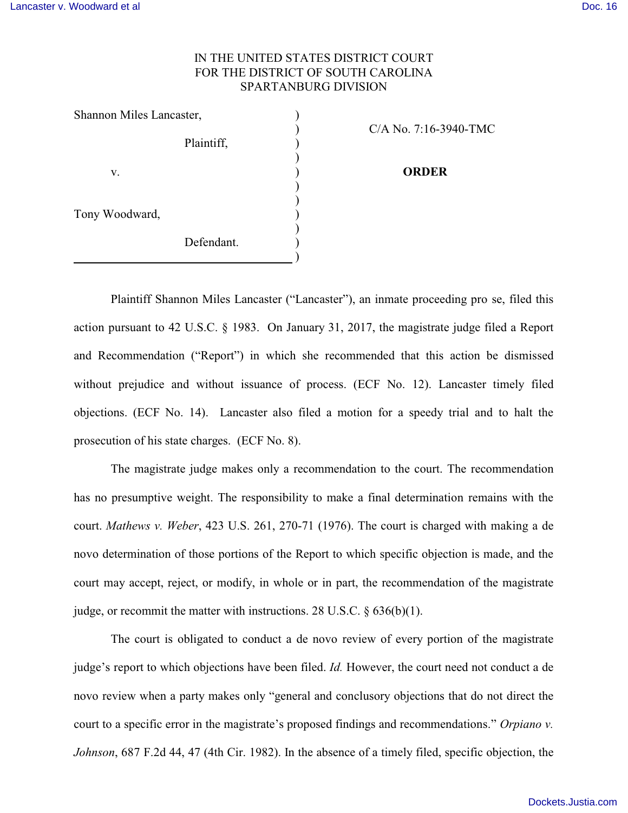## IN THE UNITED STATES DISTRICT COURT FOR THE DISTRICT OF SOUTH CAROLINA SPARTANBURG DIVISION

| Shannon Miles Lancaster, |            |                   |
|--------------------------|------------|-------------------|
|                          |            | $C/A$ No. 7:16-39 |
|                          | Plaintiff, |                   |
|                          |            |                   |
| v.                       |            | <b>ORDER</b>      |
|                          |            |                   |
|                          |            |                   |
| Tony Woodward,           |            |                   |
|                          |            |                   |
|                          | Defendant. |                   |
|                          |            |                   |

16-3940-TMC

Plaintiff Shannon Miles Lancaster ("Lancaster"), an inmate proceeding pro se, filed this action pursuant to 42 U.S.C. § 1983. On January 31, 2017, the magistrate judge filed a Report and Recommendation ("Report") in which she recommended that this action be dismissed without prejudice and without issuance of process. (ECF No. 12). Lancaster timely filed objections. (ECF No. 14). Lancaster also filed a motion for a speedy trial and to halt the prosecution of his state charges. (ECF No. 8).

The magistrate judge makes only a recommendation to the court. The recommendation has no presumptive weight. The responsibility to make a final determination remains with the court. *Mathews v. Weber*, 423 U.S. 261, 270-71 (1976). The court is charged with making a de novo determination of those portions of the Report to which specific objection is made, and the court may accept, reject, or modify, in whole or in part, the recommendation of the magistrate judge, or recommit the matter with instructions. 28 U.S.C.  $\S$  636(b)(1).

The court is obligated to conduct a de novo review of every portion of the magistrate judge's report to which objections have been filed. *Id.* However, the court need not conduct a de novo review when a party makes only "general and conclusory objections that do not direct the court to a specific error in the magistrate's proposed findings and recommendations." *Orpiano v. Johnson*, 687 F.2d 44, 47 (4th Cir. 1982). In the absence of a timely filed, specific objection, the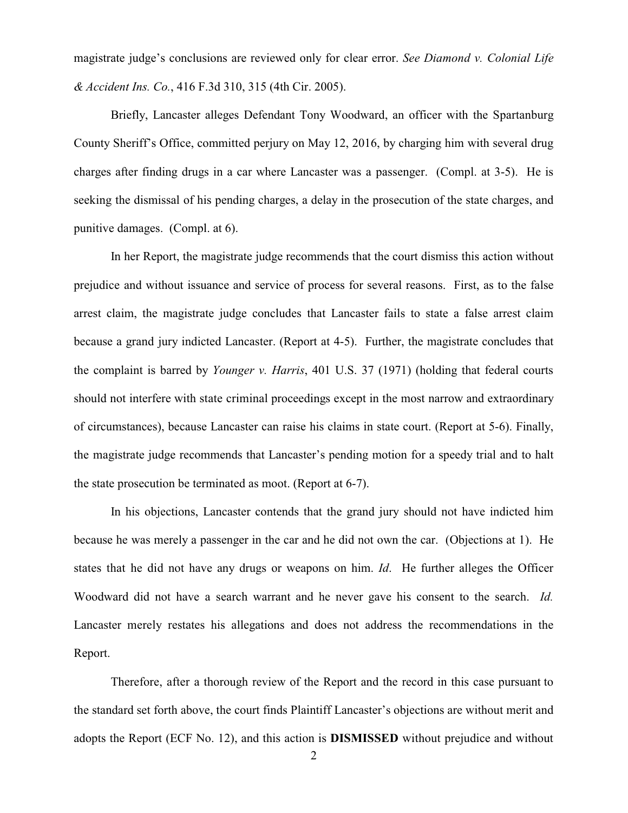magistrate judge's conclusions are reviewed only for clear error. *See Diamond v. Colonial Life & Accident Ins. Co.*, 416 F.3d 310, 315 (4th Cir. 2005).

Briefly, Lancaster alleges Defendant Tony Woodward, an officer with the Spartanburg County Sheriff's Office, committed perjury on May 12, 2016, by charging him with several drug charges after finding drugs in a car where Lancaster was a passenger. (Compl. at 3-5). He is seeking the dismissal of his pending charges, a delay in the prosecution of the state charges, and punitive damages. (Compl. at 6).

In her Report, the magistrate judge recommends that the court dismiss this action without prejudice and without issuance and service of process for several reasons. First, as to the false arrest claim, the magistrate judge concludes that Lancaster fails to state a false arrest claim because a grand jury indicted Lancaster. (Report at 4-5). Further, the magistrate concludes that the complaint is barred by *Younger v. Harris*, 401 U.S. 37 (1971) (holding that federal courts should not interfere with state criminal proceedings except in the most narrow and extraordinary of circumstances), because Lancaster can raise his claims in state court. (Report at 5-6). Finally, the magistrate judge recommends that Lancaster's pending motion for a speedy trial and to halt the state prosecution be terminated as moot. (Report at 6-7).

In his objections, Lancaster contends that the grand jury should not have indicted him because he was merely a passenger in the car and he did not own the car. (Objections at 1). He states that he did not have any drugs or weapons on him. *Id*. He further alleges the Officer Woodward did not have a search warrant and he never gave his consent to the search. *Id.* Lancaster merely restates his allegations and does not address the recommendations in the Report.

Therefore, after a thorough review of the Report and the record in this case pursuant to the standard set forth above, the court finds Plaintiff Lancaster's objections are without merit and adopts the Report (ECF No. 12), and this action is **DISMISSED** without prejudice and without